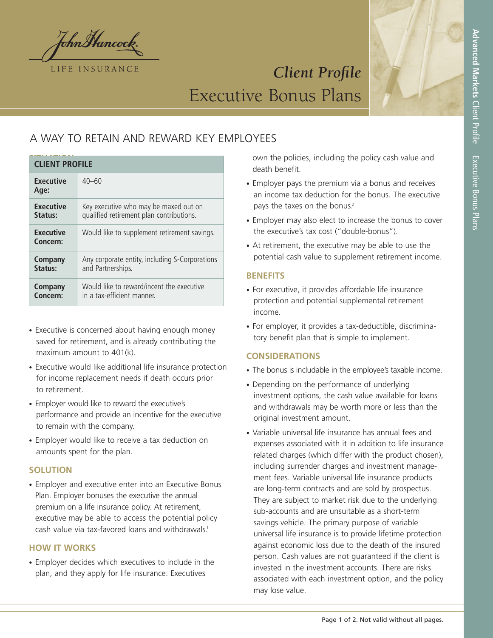

# *Client Profile* Executive Bonus Plans

# A WAY TO RETAIN AND REWARD KEY EMPLOYEES

| <b>CLIENT PROFILE</b>        |                                                |
|------------------------------|------------------------------------------------|
| <b>Executive</b><br>Age:     | $40 - 60$                                      |
| <b>Executive</b>             | Key executive who may be maxed out on          |
| Status:                      | qualified retirement plan contributions.       |
| <b>Executive</b><br>Concern: | Would like to supplement retirement savings.   |
| <b>Company</b>               | Any corporate entity, including S-Corporations |
| Status:                      | and Partnerships.                              |
| <b>Company</b>               | Would like to reward/incent the executive      |
| Concern:                     | in a tax-efficient manner.                     |

- Executive is concerned about having enough money saved for retirement, and is already contributing the maximum amount to 401(k).
- Executive would like additional life insurance protection for income replacement needs if death occurs prior to retirement.
- Employer would like to reward the executive's performance and provide an incentive for the executive to remain with the company.
- Employer would like to receive a tax deduction on amounts spent for the plan.

## **SOLUTION**

• Employer and executive enter into an Executive Bonus Plan. Employer bonuses the executive the annual premium on a life insurance policy. At retirement, executive may be able to access the potential policy cash value via tax-favored loans and withdrawals. 1

#### **HOW IT WORKS**

• Employer decides which executives to include in the plan, and they apply for life insurance. Executives

own the policies, including the policy cash value and death benefit.

- Employer pays the premium via a bonus and receives an income tax deduction for the bonus. The executive pays the taxes on the bonus.<sup>2</sup>
- Employer may also elect to increase the bonus to cover the executive's tax cost ("double-bonus").
- At retirement, the executive may be able to use the potential cash value to supplement retirement income.

#### **BENEFITS**

- For executive, it provides affordable life insurance protection and potential supplemental retirement income.
- For employer, it provides a tax-deductible, discriminatory benefit plan that is simple to implement.

## **CONSIDERATIONS**

- The bonus is includable in the employee's taxable income.
- Depending on the performance of underlying investment options, the cash value available for loans and withdrawals may be worth more or less than the original investment amount.
- Variable universal life insurance has annual fees and expenses associated with it in addition to life insurance related charges (which differ with the product chosen), including surrender charges and investment management fees. Variable universal life insurance products are long-term contracts and are sold by prospectus. They are subject to market risk due to the underlying sub-accounts and are unsuitable as a short-term savings vehicle. The primary purpose of variable universal life insurance is to provide lifetime protection against economic loss due to the death of the insured person. Cash values are not guaranteed if the client is invested in the investment accounts. There are risks associated with each investment option, and the policy may lose value.